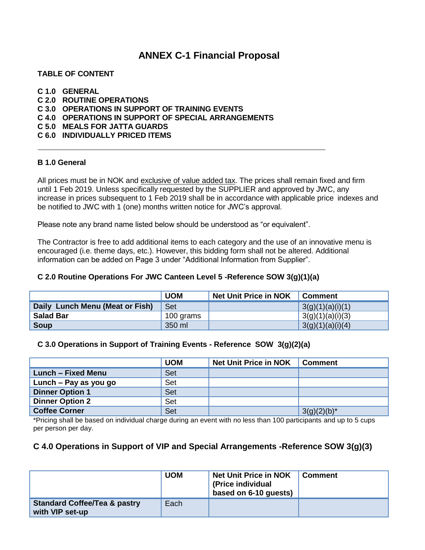## **ANNEX C-1 Financial Proposal**

## **TABLE OF CONTENT**

#### **C 1.0 GENERAL**

- **C 2.0 ROUTINE OPERATIONS**
- **C 3.0 OPERATIONS IN SUPPORT OF TRAINING EVENTS**
- **C 4.0 OPERATIONS IN SUPPORT OF SPECIAL ARRANGEMENTS**
- **C 5.0 MEALS FOR JATTA GUARDS**

## **C 6.0 INDIVIDUALLY PRICED ITEMS**

#### **B 1.0 General**

All prices must be in NOK and exclusive of value added tax. The prices shall remain fixed and firm until 1 Feb 2019. Unless specifically requested by the SUPPLIER and approved by JWC, any increase in prices subsequent to 1 Feb 2019 shall be in accordance with applicable price indexes and be notified to JWC with 1 (one) months written notice for JWC's approval.

Please note any brand name listed below should be understood as "or equivalent".

The Contractor is free to add additional items to each category and the use of an innovative menu is encouraged (i.e. theme days, etc.). However, this bidding form shall not be altered. Additional information can be added on Page 3 under "Additional Information from Supplier".

### **C 2.0 Routine Operations For JWC Canteen Level 5 -Reference SOW 3(g)(1)(a)**

|                                 | <b>UOM</b> | <b>Net Unit Price in NOK</b> | Comment          |
|---------------------------------|------------|------------------------------|------------------|
| Daily Lunch Menu (Meat or Fish) | Set        |                              | 3(g)(1)(a)(i)(1) |
| <b>Salad Bar</b>                | 100 grams  |                              | 3(g)(1)(a)(i)(3) |
| Soup                            | 350 ml     |                              | 3(g)(1)(a)(i)(4) |

#### **C 3.0 Operations in Support of Training Events - Reference SOW 3(g)(2)(a)**

|                        | <b>UOM</b> | <b>Net Unit Price in NOK</b> | <b>Comment</b> |
|------------------------|------------|------------------------------|----------------|
| Lunch – Fixed Menu     | Set        |                              |                |
| Lunch – Pay as you go  | Set        |                              |                |
| <b>Dinner Option 1</b> | Set        |                              |                |
| <b>Dinner Option 2</b> | Set        |                              |                |
| <b>Coffee Corner</b>   | Set        |                              | $3(g)(2)(b)^*$ |

\*Pricing shall be based on individual charge during an event with no less than 100 participants and up to 5 cups per person per day.

## **C 4.0 Operations in Support of VIP and Special Arrangements -Reference SOW 3(g)(3)**

|                                                            | <b>UOM</b> | <b>Net Unit Price in NOK</b><br>(Price individual<br>based on 6-10 quests) | <b>Comment</b> |
|------------------------------------------------------------|------------|----------------------------------------------------------------------------|----------------|
| <b>Standard Coffee/Tea &amp; pastry</b><br>with VIP set-up | Each       |                                                                            |                |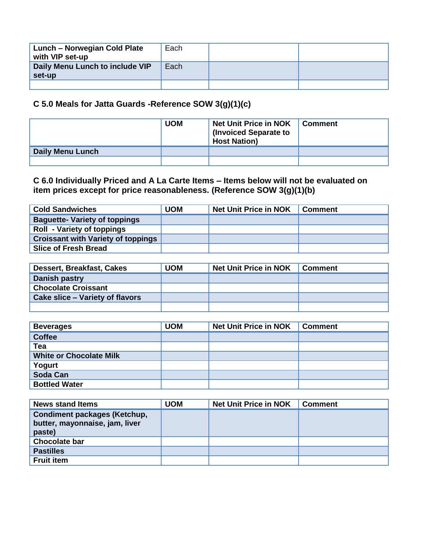| <b>Lunch - Norwegian Cold Plate</b><br>with VIP set-up | Each |  |
|--------------------------------------------------------|------|--|
| Daily Menu Lunch to include VIP<br>set-up              | Each |  |
|                                                        |      |  |

## **C 5.0 Meals for Jatta Guards -Reference SOW 3(g)(1)(c)**

|                         | <b>UOM</b> | <b>Net Unit Price in NOK</b><br><b>I</b> (Invoiced Separate to<br><b>Host Nation)</b> | Comment |
|-------------------------|------------|---------------------------------------------------------------------------------------|---------|
| <b>Daily Menu Lunch</b> |            |                                                                                       |         |
|                         |            |                                                                                       |         |

## **C 6.0 Individually Priced and A La Carte Items – Items below will not be evaluated on item prices except for price reasonableness. (Reference SOW 3(g)(1)(b)**

| <b>Cold Sandwiches</b>                    | <b>UOM</b> | <b>Net Unit Price in NOK</b> | <b>Comment</b> |
|-------------------------------------------|------------|------------------------------|----------------|
| <b>Baguette- Variety of toppings</b>      |            |                              |                |
| <b>Roll - Variety of toppings</b>         |            |                              |                |
| <b>Croissant with Variety of toppings</b> |            |                              |                |
| <b>Slice of Fresh Bread</b>               |            |                              |                |

| Dessert, Breakfast, Cakes       | <b>UOM</b> | <b>Net Unit Price in NOK</b> | <b>Comment</b> |
|---------------------------------|------------|------------------------------|----------------|
| Danish pastry                   |            |                              |                |
| <b>Chocolate Croissant</b>      |            |                              |                |
| Cake slice – Variety of flavors |            |                              |                |
|                                 |            |                              |                |

| <b>Beverages</b>               | <b>UOM</b> | <b>Net Unit Price in NOK</b> | <b>Comment</b> |
|--------------------------------|------------|------------------------------|----------------|
| <b>Coffee</b>                  |            |                              |                |
| Tea                            |            |                              |                |
| <b>White or Chocolate Milk</b> |            |                              |                |
| Yogurt                         |            |                              |                |
| Soda Can                       |            |                              |                |
| <b>Bottled Water</b>           |            |                              |                |

| <b>News stand Items</b>                                                         | UOM | <b>Net Unit Price in NOK</b> | <b>Comment</b> |
|---------------------------------------------------------------------------------|-----|------------------------------|----------------|
| <b>Condiment packages (Ketchup,</b><br>butter, mayonnaise, jam, liver<br>paste) |     |                              |                |
| <b>Chocolate bar</b>                                                            |     |                              |                |
| <b>Pastilles</b>                                                                |     |                              |                |
| <b>Fruit item</b>                                                               |     |                              |                |